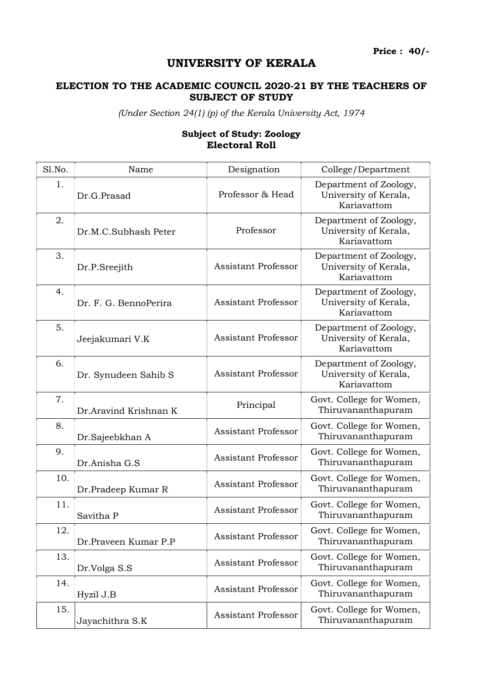Price : 40/-

## UNIVERSITY OF KERALA

## ELECTION TO THE ACADEMIC COUNCIL 2020-21 BY THE TEACHERS OF SUBJECT OF STUDY

(Under Section 24(1) (p) of the Kerala University Act, 1974

## Sl.No. Name Name Designation College/Department 1. Dr.G.Prasad Professor & Head Department of Zoology, University of Kerala, Kariavattom 2. Dr.M.C.Subhash Peter Professor Department of Zoology, University of Kerala, Kariavattom 3. Dr.P.Sreejith Assistant Professor Department of Zoology, University of Kerala, Kariavattom 4. Dr. F. G. BennoPerira Assistant Professor Department of Zoology, University of Kerala, Kariavattom 5. Jeejakumari V.K <br>
Assistant Professor Department of Zoology, University of Kerala, Kariavattom 6. Dr. Synudeen Sahib S Assistant Professor Department of Zoology, University of Kerala, Kariavattom 7. Dr.Aravind Krishnan K Principal Govt. College for Women, Thiruvananthapuram 8. Dr.Sajeebkhan A Assistant Professor Govt. College for Women, Thiruvananthapuram 9. Dr.Anisha G.S <br>Br.Anisha G.S Assistant Professor Govt. College for Women, Thiruvananthapuram 10. Dr.Pradeep Kumar R Assistant Professor Govt. College for Women, Thiruvananthapuram 11. Savitha P Assistant Professor Govt. College for Women, Thiruvananthapuram 12. Dr.Praveen Kumar P.P <br>Assistant Professor Thiruvananthapuram Thiruvananthapuram Thiruvananthapuram 13. Dr.Volga S.S <br>Br.Volga S.S Assistant Professor Govt. College for Women, Thiruvananthapuram 14. Hyzil J.B <br>B Assistant Professor Govt. College for Women, Thiruvananthapuram 15. Javachithra S.K <br>Assistant Professor Thiruvananthapuram Thiruvananthapuram Thiruvananthapuram

## Subject of Study: Zoology Electoral Roll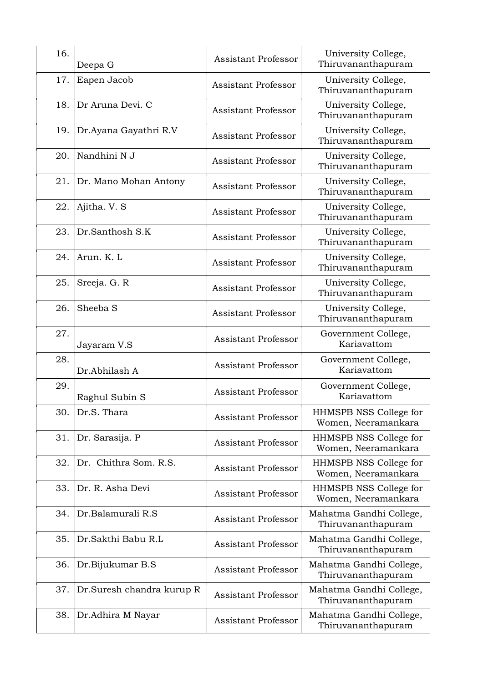| 16. | Deepa G                   | <b>Assistant Professor</b> | University College,<br>Thiruvananthapuram     |
|-----|---------------------------|----------------------------|-----------------------------------------------|
| 17. | Eapen Jacob               | <b>Assistant Professor</b> | University College,<br>Thiruvananthapuram     |
| 18. | Dr Aruna Devi. C          | <b>Assistant Professor</b> | University College,<br>Thiruvananthapuram     |
| 19. | Dr.Ayana Gayathri R.V     | <b>Assistant Professor</b> | University College,<br>Thiruvananthapuram     |
| 20. | Nandhini N J              | <b>Assistant Professor</b> | University College,<br>Thiruvananthapuram     |
| 21. | Dr. Mano Mohan Antony     | <b>Assistant Professor</b> | University College,<br>Thiruvananthapuram     |
| 22. | Ajitha. V. S              | <b>Assistant Professor</b> | University College,<br>Thiruvananthapuram     |
| 23. | Dr.Santhosh S.K           | <b>Assistant Professor</b> | University College,<br>Thiruvananthapuram     |
| 24. | Arun. K. L                | <b>Assistant Professor</b> | University College,<br>Thiruvananthapuram     |
| 25. | Sreeja. G. R              | <b>Assistant Professor</b> | University College,<br>Thiruvananthapuram     |
| 26. | Sheeba <sub>S</sub>       | <b>Assistant Professor</b> | University College,<br>Thiruvananthapuram     |
| 27. | Jayaram V.S               | <b>Assistant Professor</b> | Government College,<br>Kariavattom            |
| 28. | Dr.Abhilash A             | <b>Assistant Professor</b> | Government College,<br>Kariavattom            |
| 29. | Raghul Subin S            | <b>Assistant Professor</b> | Government College,<br>Kariavattom            |
| 30. | Dr.S. Thara               | <b>Assistant Professor</b> | HHMSPB NSS College for<br>Women, Neeramankara |
| 31. | Dr. Sarasija. P           | <b>Assistant Professor</b> | HHMSPB NSS College for<br>Women, Neeramankara |
| 32. | Dr. Chithra Som. R.S.     | <b>Assistant Professor</b> | HHMSPB NSS College for<br>Women, Neeramankara |
| 33. | Dr. R. Asha Devi          | <b>Assistant Professor</b> | HHMSPB NSS College for<br>Women, Neeramankara |
| 34. | Dr.Balamurali R.S         | <b>Assistant Professor</b> | Mahatma Gandhi College,<br>Thiruvananthapuram |
| 35. | Dr.Sakthi Babu R.L        | <b>Assistant Professor</b> | Mahatma Gandhi College,<br>Thiruvananthapuram |
| 36. | Dr.Bijukumar B.S          | <b>Assistant Professor</b> | Mahatma Gandhi College,<br>Thiruvananthapuram |
| 37. | Dr.Suresh chandra kurup R | <b>Assistant Professor</b> | Mahatma Gandhi College,<br>Thiruvananthapuram |
| 38. | Dr.Adhira M Nayar         | <b>Assistant Professor</b> | Mahatma Gandhi College,<br>Thiruvananthapuram |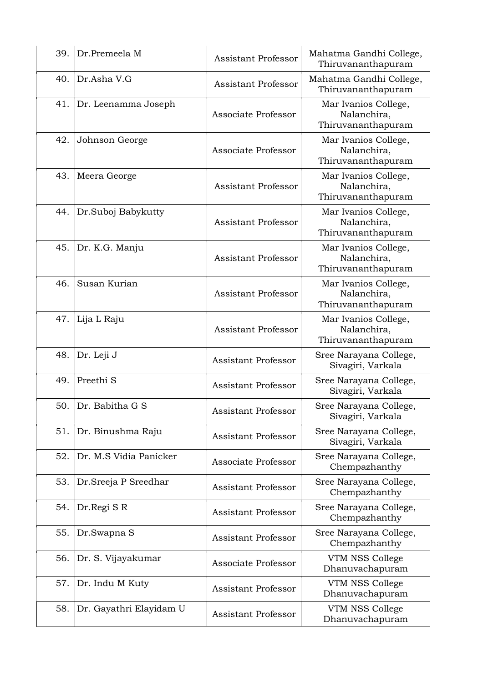| 39. | Dr.Premeela M           | <b>Assistant Professor</b> | Mahatma Gandhi College,<br>Thiruvananthapuram             |
|-----|-------------------------|----------------------------|-----------------------------------------------------------|
| 40. | Dr.Asha V.G             | <b>Assistant Professor</b> | Mahatma Gandhi College,<br>Thiruvananthapuram             |
| 41. | Dr. Leenamma Joseph     | Associate Professor        | Mar Ivanios College,<br>Nalanchira,<br>Thiruvananthapuram |
| 42. | Johnson George          | Associate Professor        | Mar Ivanios College,<br>Nalanchira,<br>Thiruvananthapuram |
| 43. | Meera George            | <b>Assistant Professor</b> | Mar Ivanios College,<br>Nalanchira,<br>Thiruvananthapuram |
| 44. | Dr.Suboj Babykutty      | <b>Assistant Professor</b> | Mar Ivanios College,<br>Nalanchira,<br>Thiruvananthapuram |
| 45. | Dr. K.G. Manju          | <b>Assistant Professor</b> | Mar Ivanios College,<br>Nalanchira,<br>Thiruvananthapuram |
| 46. | Susan Kurian            | <b>Assistant Professor</b> | Mar Ivanios College,<br>Nalanchira,<br>Thiruvananthapuram |
| 47. | Lija L Raju             | <b>Assistant Professor</b> | Mar Ivanios College,<br>Nalanchira,<br>Thiruvananthapuram |
| 48. | Dr. Leji J              | <b>Assistant Professor</b> | Sree Narayana College,<br>Sivagiri, Varkala               |
| 49. | Preethi <sub>S</sub>    | <b>Assistant Professor</b> | Sree Narayana College,<br>Sivagiri, Varkala               |
| 50. | Dr. Babitha G S         | <b>Assistant Professor</b> | Sree Narayana College,<br>Sivagiri, Varkala               |
| 51. | Dr. Binushma Raju       | <b>Assistant Professor</b> | Sree Narayana College,<br>Sivagiri, Varkala               |
| 52. | Dr. M.S Vidia Panicker  | Associate Professor        | Sree Narayana College,<br>Chempazhanthy                   |
| 53. | Dr.Sreeja P Sreedhar    | <b>Assistant Professor</b> | Sree Narayana College,<br>Chempazhanthy                   |
| 54. | Dr.Regi SR              | <b>Assistant Professor</b> | Sree Narayana College,<br>Chempazhanthy                   |
| 55. | Dr.Swapna S             | <b>Assistant Professor</b> | Sree Narayana College,<br>Chempazhanthy                   |
| 56. | Dr. S. Vijayakumar      | Associate Professor        | VTM NSS College<br>Dhanuvachapuram                        |
| 57. | Dr. Indu M Kuty         | <b>Assistant Professor</b> | VTM NSS College<br>Dhanuvachapuram                        |
| 58. | Dr. Gayathri Elayidam U | <b>Assistant Professor</b> | VTM NSS College<br>Dhanuvachapuram                        |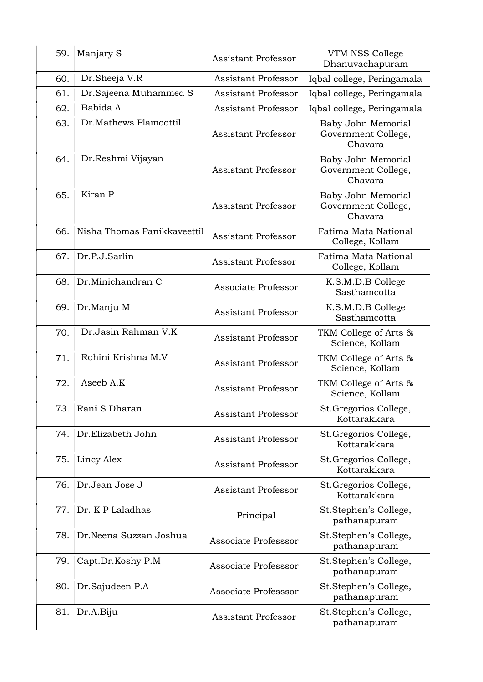| 59. | Manjary S                   | <b>Assistant Professor</b> | VTM NSS College<br>Dhanuvachapuram                   |
|-----|-----------------------------|----------------------------|------------------------------------------------------|
| 60. | Dr.Sheeja V.R               | <b>Assistant Professor</b> | Iqbal college, Peringamala                           |
| 61. | Dr.Sajeena Muhammed S       | <b>Assistant Professor</b> | Iqbal college, Peringamala                           |
| 62. | Babida A                    | <b>Assistant Professor</b> | Iqbal college, Peringamala                           |
| 63. | Dr.Mathews Plamoottil       | Assistant Professor        | Baby John Memorial<br>Government College,<br>Chavara |
| 64. | Dr.Reshmi Vijayan           | <b>Assistant Professor</b> | Baby John Memorial<br>Government College,<br>Chavara |
| 65. | Kiran P                     | <b>Assistant Professor</b> | Baby John Memorial<br>Government College,<br>Chavara |
| 66. | Nisha Thomas Panikkaveettil | <b>Assistant Professor</b> | Fatima Mata National<br>College, Kollam              |
| 67. | Dr.P.J.Sarlin               | <b>Assistant Professor</b> | Fatima Mata National<br>College, Kollam              |
| 68. | Dr.Minichandran C           | Associate Professor        | K.S.M.D.B College<br>Sasthamcotta                    |
| 69. | Dr.Manju M                  | <b>Assistant Professor</b> | K.S.M.D.B College<br>Sasthamcotta                    |
| 70. | Dr.Jasin Rahman V.K         | <b>Assistant Professor</b> | TKM College of Arts &<br>Science, Kollam             |
| 71. | Rohini Krishna M.V          | <b>Assistant Professor</b> | TKM College of Arts &<br>Science, Kollam             |
| 72. | Aseeb A.K                   | <b>Assistant Professor</b> | TKM College of Arts &<br>Science, Kollam             |
| 73. | Rani S Dharan               | <b>Assistant Professor</b> | St.Gregorios College,<br>Kottarakkara                |
| 74. | Dr.Elizabeth John           | <b>Assistant Professor</b> | St.Gregorios College,<br>Kottarakkara                |
| 75. | Lincy Alex                  | <b>Assistant Professor</b> | St.Gregorios College,<br>Kottarakkara                |
| 76. | Dr.Jean Jose J              | <b>Assistant Professor</b> | St. Gregorios College,<br>Kottarakkara               |
| 77. | Dr. K P Laladhas            | Principal                  | St.Stephen's College,<br>pathanapuram                |
| 78. | Dr.Neena Suzzan Joshua      | Associate Professsor       | St.Stephen's College,<br>pathanapuram                |
| 79. | Capt.Dr.Koshy P.M           | Associate Professsor       | St.Stephen's College,<br>pathanapuram                |
| 80. | Dr.Sajudeen P.A             | Associate Professsor       | St.Stephen's College,<br>pathanapuram                |
| 81. | Dr.A.Biju                   | Assistant Professor        | St.Stephen's College,<br>pathanapuram                |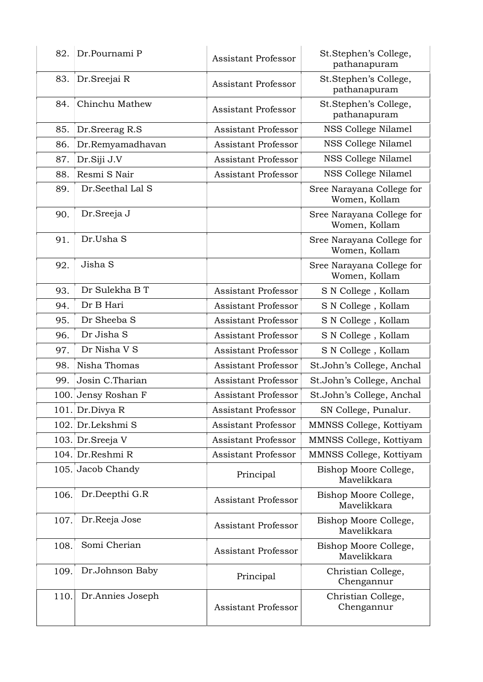| 82.  | Dr.Pournami P       | <b>Assistant Professor</b> | St.Stephen's College,<br>pathanapuram      |
|------|---------------------|----------------------------|--------------------------------------------|
| 83.  | Dr.Sreejai R        | <b>Assistant Professor</b> | St.Stephen's College,<br>pathanapuram      |
| 84.  | Chinchu Mathew      | <b>Assistant Professor</b> | St.Stephen's College,<br>pathanapuram      |
| 85.  | Dr.Sreerag R.S      | <b>Assistant Professor</b> | NSS College Nilamel                        |
| 86.  | Dr.Remyamadhavan    | <b>Assistant Professor</b> | NSS College Nilamel                        |
| 87.  | Dr.Siji J.V         | <b>Assistant Professor</b> | NSS College Nilamel                        |
| 88.  | Resmi S Nair        | <b>Assistant Professor</b> | NSS College Nilamel                        |
| 89.  | Dr.Seethal Lal S    |                            | Sree Narayana College for<br>Women, Kollam |
| 90.  | Dr.Sreeja J         |                            | Sree Narayana College for<br>Women, Kollam |
| 91.  | Dr.Usha S           |                            | Sree Narayana College for<br>Women, Kollam |
| 92.  | Jisha S             |                            | Sree Narayana College for<br>Women, Kollam |
| 93.  | Dr Sulekha B T      | <b>Assistant Professor</b> | S N College, Kollam                        |
| 94.  | Dr B Hari           | <b>Assistant Professor</b> | S N College, Kollam                        |
| 95.  | Dr Sheeba S         | <b>Assistant Professor</b> | S N College, Kollam                        |
| 96.  | Dr Jisha S          | <b>Assistant Professor</b> | S N College, Kollam                        |
| 97.  | Dr Nisha V S        | <b>Assistant Professor</b> | S N College, Kollam                        |
| 98.  | Nisha Thomas        | <b>Assistant Professor</b> | St.John's College, Anchal                  |
| 99.  | Josin C.Tharian     | <b>Assistant Professor</b> | St.John's College, Anchal                  |
|      | 100. Jensy Roshan F | <b>Assistant Professor</b> | St.John's College, Anchal                  |
|      | 101. Dr.Divya R     | <b>Assistant Professor</b> | SN College, Punalur.                       |
|      | 102. Dr.Lekshmi S   | Assistant Professor        | MMNSS College, Kottiyam                    |
|      | 103. Dr. Sreeja V   | <b>Assistant Professor</b> | MMNSS College, Kottiyam                    |
|      | 104. Dr.Reshmi R    | <b>Assistant Professor</b> | MMNSS College, Kottiyam                    |
|      | 105. Jacob Chandy   | Principal                  | Bishop Moore College,<br>Mavelikkara       |
| 106. | Dr.Deepthi G.R      | <b>Assistant Professor</b> | Bishop Moore College,<br>Mavelikkara       |
| 107. | Dr.Reeja Jose       | <b>Assistant Professor</b> | Bishop Moore College,<br>Mavelikkara       |
| 108. | Somi Cherian        | <b>Assistant Professor</b> | Bishop Moore College,<br>Mavelikkara       |
| 109. | Dr.Johnson Baby     | Principal                  | Christian College,<br>Chengannur           |
| 110. | Dr.Annies Joseph    | <b>Assistant Professor</b> | Christian College,<br>Chengannur           |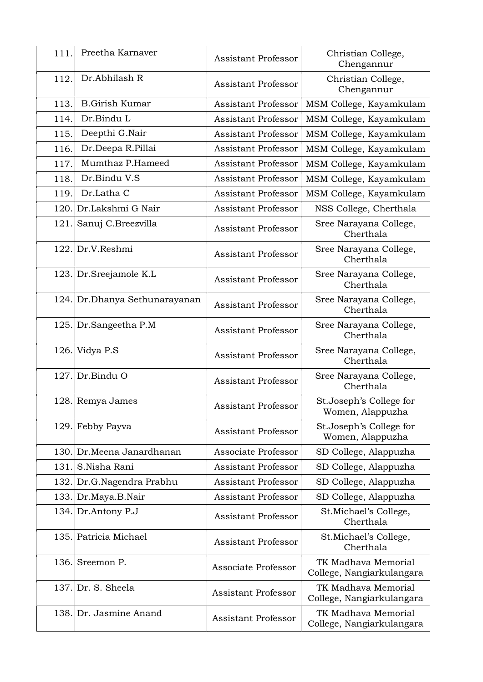| 111. | Preetha Karnaver              | <b>Assistant Professor</b> | Christian College,<br>Chengannur                 |
|------|-------------------------------|----------------------------|--------------------------------------------------|
| 112. | Dr.Abhilash R                 | <b>Assistant Professor</b> | Christian College,<br>Chengannur                 |
| 113. | <b>B.Girish Kumar</b>         | <b>Assistant Professor</b> | MSM College, Kayamkulam                          |
| 114. | Dr.Bindu L                    | <b>Assistant Professor</b> | MSM College, Kayamkulam                          |
| 115. | Deepthi G.Nair                | <b>Assistant Professor</b> | MSM College, Kayamkulam                          |
| 116. | Dr.Deepa R.Pillai             | <b>Assistant Professor</b> | MSM College, Kayamkulam                          |
| 117. | Mumthaz P.Hameed              | <b>Assistant Professor</b> | MSM College, Kayamkulam                          |
| 118. | Dr.Bindu V.S                  | <b>Assistant Professor</b> | MSM College, Kayamkulam                          |
| 119. | Dr.Latha C                    | <b>Assistant Professor</b> | MSM College, Kayamkulam                          |
|      | 120. Dr.Lakshmi G Nair        | <b>Assistant Professor</b> | NSS College, Cherthala                           |
|      | 121. Sanuj C.Breezvilla       | <b>Assistant Professor</b> | Sree Narayana College,<br>Cherthala              |
|      | 122. Dr.V.Reshmi              | <b>Assistant Professor</b> | Sree Narayana College,<br>Cherthala              |
|      | 123. Dr. Sreejamole K.L       | <b>Assistant Professor</b> | Sree Narayana College,<br>Cherthala              |
|      | 124. Dr.Dhanya Sethunarayanan | <b>Assistant Professor</b> | Sree Narayana College,<br>Cherthala              |
|      | 125. Dr. Sangeetha P.M        | <b>Assistant Professor</b> | Sree Narayana College,<br>Cherthala              |
|      | 126. Vidya P.S                | <b>Assistant Professor</b> | Sree Narayana College,<br>Cherthala              |
|      | $127.$ Dr. Bindu O            | <b>Assistant Professor</b> | Sree Narayana College,<br>Cherthala              |
|      | 128. Remya James              | Assistant Professor        | St.Joseph's College for<br>Women, Alappuzha      |
|      | 129. Febby Payva              | <b>Assistant Professor</b> | St.Joseph's College for<br>Women, Alappuzha      |
|      | 130. Dr.Meena Janardhanan     | Associate Professor        | SD College, Alappuzha                            |
| 131. | S.Nisha Rani                  | <b>Assistant Professor</b> | SD College, Alappuzha                            |
|      | 132. Dr.G.Nagendra Prabhu     | <b>Assistant Professor</b> | SD College, Alappuzha                            |
|      | 133. Dr.Maya.B.Nair           | <b>Assistant Professor</b> | SD College, Alappuzha                            |
|      | 134. Dr.Antony P.J            | <b>Assistant Professor</b> | St. Michael's College,<br>Cherthala              |
|      | 135. Patricia Michael         | <b>Assistant Professor</b> | St.Michael's College,<br>Cherthala               |
|      | 136. Sreemon P.               | Associate Professor        | TK Madhava Memorial<br>College, Nangiarkulangara |
|      | $137.$ Dr. S. Sheela          | <b>Assistant Professor</b> | TK Madhava Memorial<br>College, Nangiarkulangara |
|      | 138. Dr. Jasmine Anand        | <b>Assistant Professor</b> | TK Madhava Memorial<br>College, Nangiarkulangara |